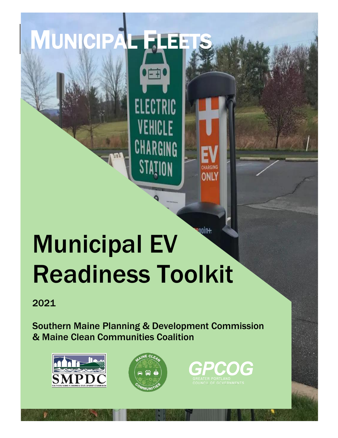# **Anoin+** Municipal EV Readiness Toolkit

一

**ELECTRIC** 

VEHICLE

CHARGING

2021

Southern Maine Planning & Development Commission & Maine Clean Communities Coalition



<span id="page-0-0"></span>MUNICIPAL F



CHARGING ONLY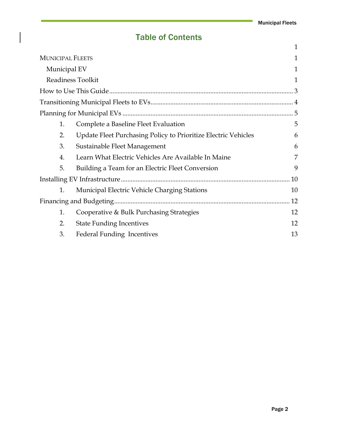# Table of Contents

|                         |                                                                | 1  |  |
|-------------------------|----------------------------------------------------------------|----|--|
| <b>MUNICIPAL FLEETS</b> |                                                                | 1  |  |
| Municipal EV            |                                                                | 1  |  |
| Readiness Toolkit       |                                                                | 1  |  |
|                         |                                                                |    |  |
|                         |                                                                |    |  |
|                         |                                                                |    |  |
| 1.                      | Complete a Baseline Fleet Evaluation                           | 5  |  |
| 2.                      | Update Fleet Purchasing Policy to Prioritize Electric Vehicles | 6  |  |
| 3.                      | Sustainable Fleet Management                                   | 6  |  |
| $\overline{4}$ .        | Learn What Electric Vehicles Are Available In Maine            | 7  |  |
| 5.                      | Building a Team for an Electric Fleet Conversion               | 9  |  |
| 10                      |                                                                |    |  |
| 1.                      | <b>Municipal Electric Vehicle Charging Stations</b>            | 10 |  |
|                         |                                                                | 12 |  |
| 1.                      | Cooperative & Bulk Purchasing Strategies                       | 12 |  |
| 2.                      | <b>State Funding Incentives</b>                                | 12 |  |
| 3.                      | <b>Federal Funding Incentives</b>                              | 13 |  |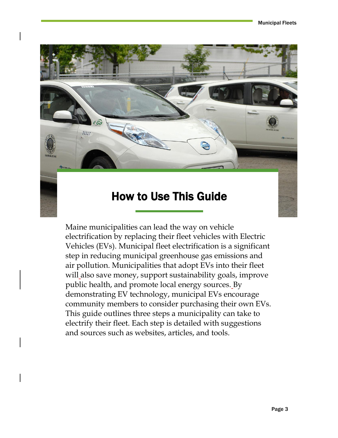

<span id="page-2-0"></span>Maine municipalities can lead the way on vehicle electrification by replacing their fleet vehicles with Electric Vehicles (EVs). Municipal fleet electrification is a significant step in reducing municipal greenhouse gas emissions and air pollution. Municipalities that adopt EVs into their fleet will also save money, support sustainability goals, improve public health, and promote local energy sources. By demonstrating EV technology, municipal EVs encourage community members to consider purchasing their own EVs. This guide outlines three steps a municipality can take to electrify their fleet. Each step is detailed with suggestions and sources such as websites, articles, and tools.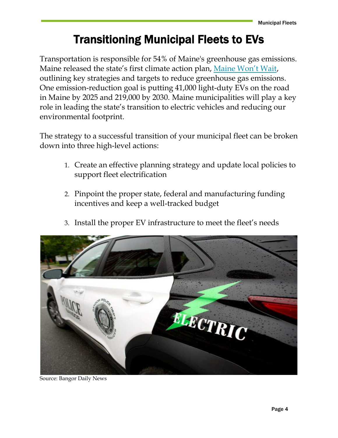# Transitioning Municipal Fleets to EVs

<span id="page-3-0"></span>Transportation is responsible for 54% of Maine's greenhouse gas emissions. Maine released the state's first climate action plan, [Maine Won't Wait](https://www.maine.gov/future/sites/maine.gov.future/files/inline-files/MaineWontWait_December2020.pdf), outlining key strategies and targets to reduce greenhouse gas emissions. One emission-reduction goal is putting 41,000 light-duty EVs on the road in Maine by 2025 and 219,000 by 2030. Maine municipalities will play a key role in leading the state's transition to electric vehicles and reducing our environmental footprint.

The strategy to a successful transition of your municipal fleet can be broken down into three high-level actions:

- 1. Create an effective planning strategy and update local policies to support fleet electrification
- 2. Pinpoint the proper state, federal and manufacturing funding incentives and keep a well-tracked budget





Source: Bangor Daily News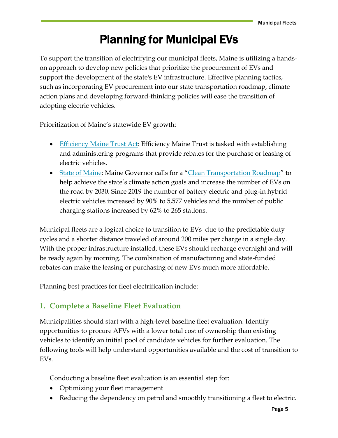# Planning for Municipal EVs

<span id="page-4-0"></span>To support the transition of electrifying our municipal fleets, Maine is utilizing a handson approach to develop new policies that prioritize the procurement of EVs and support the development of the state's EV infrastructure. Effective planning tactics, such as incorporating EV procurement into our state transportation roadmap, climate action plans and developing forward-thinking policies will ease the transition of adopting electric vehicles.

Prioritization of Maine's statewide EV growth:

- [Efficiency Maine Trust Act:](https://legislature.maine.gov/statutes/35-A/title35-Asec10126.html) Efficiency Maine Trust is tasked with establishing and administering programs that provide rebates for the purchase or leasing of electric vehicles.
- [State of Maine](https://www.maine.gov/future/initiatives/climate/cleantransportation): Maine Governor calls for a "[Clean Transportation Roadmap](https://www.maine.gov/future/sites/maine.gov.future/files/inline-files/Maine%20Clean%20Transportation%20Roadmap.pdf)" to help achieve the state's climate action goals and increase the number of EVs on the road by 2030. Since 2019 the number of battery electric and plug-in hybrid electric vehicles increased by 90% to 5,577 vehicles and the number of public charging stations increased by 62% to 265 stations.

Municipal fleets are a logical choice to transition to EVs due to the predictable duty cycles and a shorter distance traveled of around 200 miles per charge in a single day. With the proper infrastructure installed, these EVs should recharge overnight and will be ready again by morning. The combination of manufacturing and state-funded rebates can make the leasing or purchasing of new EVs much more affordable.

Planning best practices for fleet electrification include:

# <span id="page-4-1"></span>**1. Complete a Baseline Fleet Evaluation**

Municipalities should start with a high-level baseline fleet evaluation. Identify opportunities to procure AFVs with a lower total cost of ownership than existing vehicles to identify an initial pool of candidate vehicles for further evaluation. The following tools will help understand opportunities available and the cost of transition to EVs.

Conducting a baseline fleet evaluation is an essential step for:

- Optimizing your fleet management
- Reducing the dependency on petrol and smoothly transitioning a fleet to electric.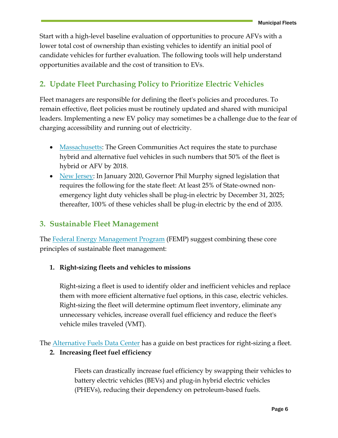Start with a high-level baseline evaluation of opportunities to procure AFVs with a lower total cost of ownership than existing vehicles to identify an initial pool of candidate vehicles for further evaluation. The following tools will help understand opportunities available and the cost of transition to EVs.

# <span id="page-5-0"></span>**2. Update Fleet Purchasing Policy to Prioritize Electric Vehicles**

Fleet managers are responsible for defining the fleet's policies and procedures. To remain effective, fleet policies must be routinely updated and shared with municipal leaders. Implementing a new EV policy may sometimes be a challenge due to the fear of charging accessibility and running out of electricity.

- [Massachusetts:](https://www.mass.gov/doc/green-communities/download) The Green Communities Act requires the state to purchase hybrid and alternative fuel vehicles in such numbers that 50% of the fleet is hybrid or AFV by 2018.
- [New Jersey:](https://www.njleg.state.nj.us/2020/Bills/S2500/2252_I1.PDF) In January 2020, Governor Phil Murphy signed legislation that requires the following for the state fleet: At least 25% of State-owned nonemergency light duty vehicles shall be plug-in electric by December 31, 2025; thereafter, 100% of these vehicles shall be plug-in electric by the end of 2035.

# <span id="page-5-1"></span>**3. Sustainable Fleet Management**

The [Federal Energy Management Program](https://www.energy.gov/eere/femp/femp-best-practices-sustainable-fleet-core-principles) (FEMP) suggest combining these core principles of sustainable fleet management:

### **1. Right-sizing fleets and vehicles to missions**

Right-sizing a fleet is used to identify older and inefficient vehicles and replace them with more efficient alternative fuel options, in this case, electric vehicles. Right-sizing the fleet will determine optimum fleet inventory, eliminate any unnecessary vehicles, increase overall fuel efficiency and reduce the fleet's vehicle miles traveled (VMT).

The **Alternative Fuels Data Center** has a guide on best practices for right-sizing a fleet.

### **2. Increasing fleet fuel efficiency**

Fleets can drastically increase fuel efficiency by swapping their vehicles to battery electric vehicles (BEVs) and plug-in hybrid electric vehicles (PHEVs), reducing their dependency on petroleum-based fuels.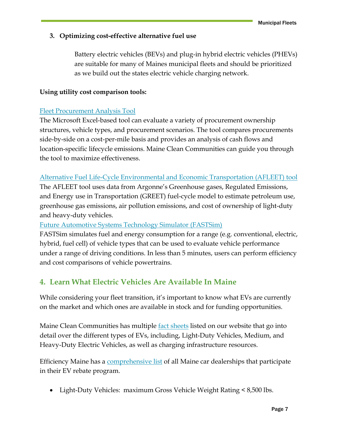### **3. Optimizing cost-effective alternative fuel use**

Battery electric vehicles (BEVs) and plug-in hybrid electric vehicles (PHEVs) are suitable for many of Maines municipal fleets and should be prioritized as we build out the states electric vehicle charging network.

#### **Using utility cost comparison tools:**

### [Fleet Procurement Analysis Tool](https://www.atlasevhub.com/resource/fleet-procurement-analysis-tool/)

The Microsoft Excel-based tool can evaluate a variety of procurement ownership structures, vehicle types, and procurement scenarios. The tool compares procurements side-by-side on a cost-per-mile basis and provides an analysis of cash flows and location-specific lifecycle emissions. Maine Clean Communities can guide you through the tool to maximize effectiveness.

### [Alternative Fuel Life-Cycle Environmental and Economic Transportation \(AFLEET\) tool](https://greet.es.anl.gov/afleet_tool)

The AFLEET tool uses data from Argonne's Greenhouse gases, Regulated Emissions, and Energy use in Transportation (GREET) fuel-cycle model to estimate petroleum use, greenhouse gas emissions, air pollution emissions, and cost of ownership of light-duty and heavy-duty vehicles.

### [Future Automotive Systems Technology Simulator \(FASTSim\)](https://www.nrel.gov/transportation/fastsim.html)

FASTSim simulates fuel and energy consumption for a range (e.g. conventional, electric, hybrid, fuel cell) of vehicle types that can be used to evaluate vehicle performance under a range of driving conditions. In less than 5 minutes, users can perform efficiency and cost comparisons of vehicle powertrains.

# <span id="page-6-0"></span>**4. Learn What Electric Vehicles Are Available In Maine**

While considering your fleet transition, it's important to know what EVs are currently on the market and which ones are available in stock and for funding opportunities.

Maine Clean Communities has multiple [fact sheets](https://www.mainecleancommunities.org/fact-sheets) listed on our website that go into detail over the different types of EVs, including, Light-Duty Vehicles, Medium, and Heavy-Duty Electric Vehicles, as well as charging infrastructure resources.

Efficiency Maine has a [comprehensive list](https://www.efficiencymaine.com/docs/EV_Accelerator_Participating_Dealers-3.pdf) of all Maine car dealerships that participate in their EV rebate program.

• Light-Duty Vehicles: maximum Gross Vehicle Weight Rating < 8,500 lbs.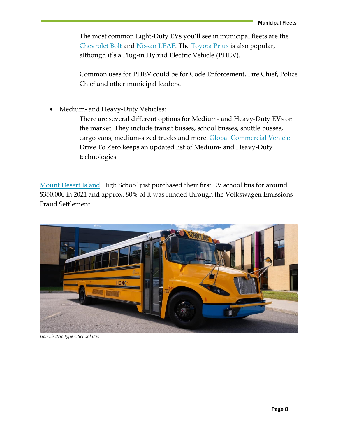The most common Light-Duty EVs you'll see in municipal fleets are the [Chevrolet Bolt](https://www.chevrolet.com/electric/bolt-ev) and [Nissan LEAF.](https://www.nissanusa.com/vehicles/electric-cars/leaf.html) The [Toyota Prius](https://www.toyota.com/priusprime/) is also popular, although it's a Plug-in Hybrid Electric Vehicle (PHEV).

Common uses for PHEV could be for Code Enforcement, Fire Chief, Police Chief and other municipal leaders.

• Medium- and Heavy-Duty Vehicles:

There are several different options for Medium- and Heavy-Duty EVs on the market. They include transit busses, school busses, shuttle busses, cargo vans, medium-sized trucks and more. [Global Commercial Vehicle](https://globaldrivetozero.org/tools/zero-emission-technology-inventory/) Drive To Zero keeps an updated list of Medium- and Heavy-Duty technologies.

[Mount Desert Island](https://www.newscentermaine.com/article/news/education/schools-that-shine/maine-rolls-out-states-first-electric-school-bus/97-eb0cbf2e-3993-4119-8a1d-9c9d88fd556e) High School just purchased their first EV school bus for around \$350,000 in 2021 and approx. 80% of it was funded through the Volkswagen Emissions Fraud Settlement.



*Lion Electric Type C School Bus*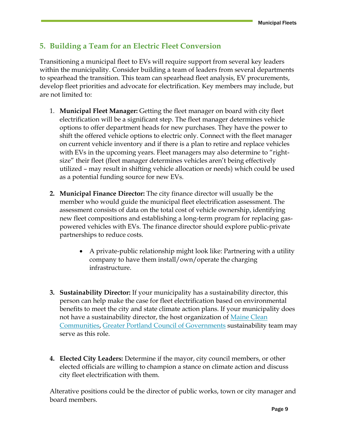# <span id="page-8-0"></span>**5. Building a Team for an Electric Fleet Conversion**

Transitioning a municipal fleet to EVs will require support from several key leaders within the municipality. Consider building a team of leaders from several departments to spearhead the transition. This team can spearhead fleet analysis, EV procurements, develop fleet priorities and advocate for electrification. Key members may include, but are not limited to:

- 1. **Municipal Fleet Manager:** Getting the fleet manager on board with city fleet electrification will be a significant step. The fleet manager determines vehicle options to offer department heads for new purchases. They have the power to shift the offered vehicle options to electric only. Connect with the fleet manager on current vehicle inventory and if there is a plan to retire and replace vehicles with EVs in the upcoming years. Fleet managers may also determine to "rightsize" their fleet (fleet manager determines vehicles aren't being effectively utilized – may result in shifting vehicle allocation or needs) which could be used as a potential funding source for new EVs.
- **2. Municipal Finance Director:** The city finance director will usually be the member who would guide the municipal fleet electrification assessment. The assessment consists of data on the total cost of vehicle ownership, identifying new fleet compositions and establishing a long-term program for replacing gaspowered vehicles with EVs. The finance director should explore public-private partnerships to reduce costs.
	- A private-public relationship might look like: Partnering with a utility company to have them install/own/operate the charging infrastructure.
- **3. Sustainability Director:** If your municipality has a sustainability director, this person can help make the case for fleet electrification based on environmental benefits to meet the city and state climate action plans. If your municipality does not have a sustainability director, the host organization of Maine Clean [Communities,](https://www.mainecleancommunities.org/who-we-are) [Greater Portland Council of Governments](https://www.gpcog.org/483/Sustainability) sustainability team may serve as this role.
- **4. Elected City Leaders:** Determine if the mayor, city council members, or other elected officials are willing to champion a stance on climate action and discuss city fleet electrification with them.

Alterative positions could be the director of public works, town or city manager and board members.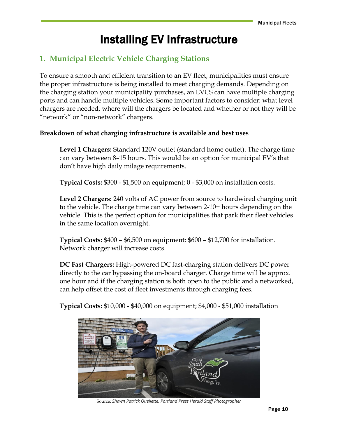# Installing EV Infrastructure

# <span id="page-9-1"></span><span id="page-9-0"></span>**1. Municipal Electric Vehicle Charging Stations**

To ensure a smooth and efficient transition to an EV fleet, municipalities must ensure the proper infrastructure is being installed to meet charging demands. Depending on the charging station your municipality purchases, an EVCS can have multiple charging ports and can handle multiple vehicles. Some important factors to consider: what level chargers are needed, where will the chargers be located and whether or not they will be "network" or "non-network" chargers.

### **Breakdown of what charging infrastructure is available and best uses**

**Level 1 Chargers:** Standard 120V outlet (standard home outlet). The charge time can vary between 8–15 hours. This would be an option for municipal EV's that don't have high daily milage requirements.

**Typical Costs:** \$300 - \$1,500 on equipment; 0 - \$3,000 on installation costs.

**Level 2 Chargers:** 240 volts of AC power from source to hardwired charging unit to the vehicle. The charge time can vary between 2-10+ hours depending on the vehicle. This is the perfect option for municipalities that park their fleet vehicles in the same location overnight.

**Typical Costs:** \$400 – \$6,500 on equipment; \$600 – \$12,700 for installation. Network charger will increase costs.

**DC Fast Chargers:** High-powered DC fast-charging station delivers DC power directly to the car bypassing the on-board charger. Charge time will be approx. one hour and if the charging station is both open to the public and a networked, can help offset the cost of fleet investments through charging fees.



**Typical Costs:** \$10,000 - \$40,000 on equipment; \$4,000 - \$51,000 installation

Source: *Shawn Patrick Ouellette, Portland Press Herald Staff Photographer*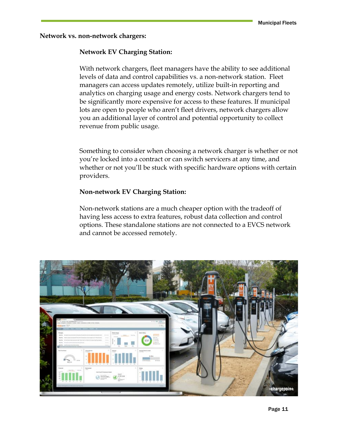**Network vs. non-network chargers:** 

#### **Network EV Charging Station:**

With network chargers, fleet managers have the ability to see additional levels of data and control capabilities vs. a non-network station. Fleet managers can access updates remotely, utilize built-in reporting and analytics on charging usage and energy costs. Network chargers tend to be significantly more expensive for access to these features. If municipal lots are open to people who aren't fleet drivers, network chargers allow you an additional layer of control and potential opportunity to collect revenue from public usage.

Something to consider when choosing a network charger is whether or not you're locked into a contract or can switch servicers at any time, and whether or not you'll be stuck with specific hardware options with certain providers.

#### **Non-network EV Charging Station:**

Non-network stations are a much cheaper option with the tradeoff of having less access to extra features, robust data collection and control options. These standalone stations are not connected to a EVCS network and cannot be accessed remotely.

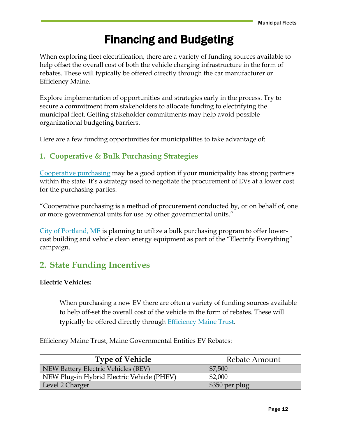# Financing and Budgeting

<span id="page-11-0"></span>When exploring fleet electrification, there are a variety of funding sources available to help offset the overall cost of both the vehicle charging infrastructure in the form of rebates. These will typically be offered directly through the car manufacturer or Efficiency Maine.

Explore implementation of opportunities and strategies early in the process. Try to secure a commitment from stakeholders to allocate funding to electrifying the municipal fleet. Getting stakeholder commitments may help avoid possible organizational budgeting barriers.

Here are a few funding opportunities for municipalities to take advantage of:

# <span id="page-11-1"></span>**1. Cooperative & Bulk Purchasing Strategies**

[Cooperative purchasing](https://driveevfleets.org/cooperative-purchasing/) may be a good option if your municipality has strong partners within the state. It's a strategy used to negotiate the procurement of EVs at a lower cost for the purchasing parties.

"Cooperative purchasing is a method of procurement conducted by, or on behalf of, one or more governmental units for use by other governmental units."

[City of Portland, ME](https://www.smartcitiesdive.com/news/portland-maine-electrify-everything-bulk-purchasing-clean-energy-equipment/607042/) is planning to utilize a bulk purchasing program to offer lowercost building and vehicle clean energy equipment as part of the "Electrify Everything" campaign.

# <span id="page-11-2"></span>**2. State Funding Incentives**

### **Electric Vehicles:**

When purchasing a new EV there are often a variety of funding sources available to help off-set the overall cost of the vehicle in the form of rebates. These will typically be offered directly through [Efficiency Maine Trust.](https://www.efficiencymaine.com/electric-vehicle-rebates/)

Efficiency Maine Trust, Maine Governmental Entities EV Rebates:

| <b>Type of Vehicle</b>                     | Rebate Amount  |
|--------------------------------------------|----------------|
| NEW Battery Electric Vehicles (BEV)        | \$7,500        |
| NEW Plug-in Hybrid Electric Vehicle (PHEV) | \$2,000        |
| Level 2 Charger                            | \$350 per plug |